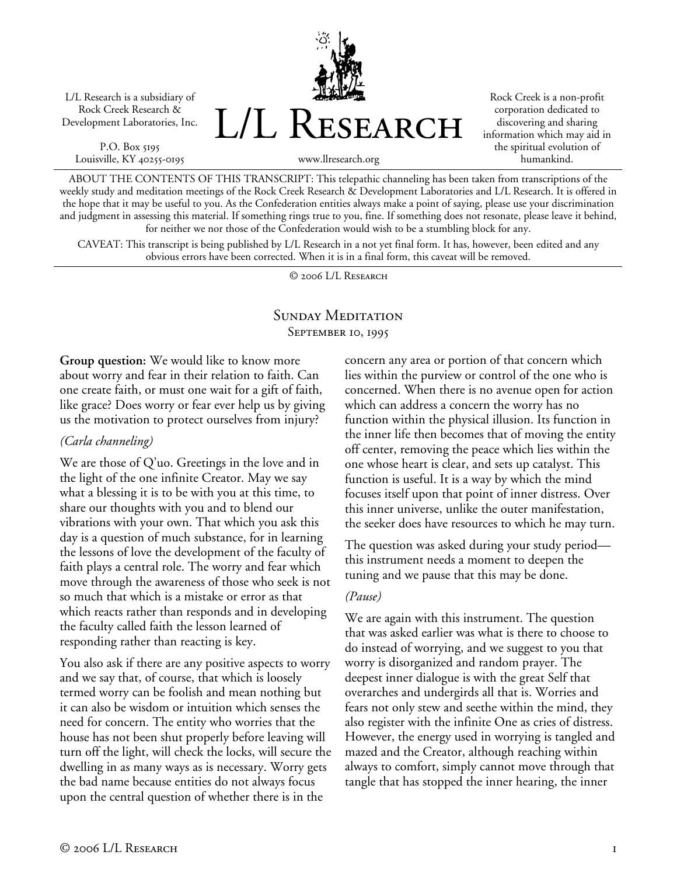L/L Research is a subsidiary of Rock Creek Research & Development Laboratories, Inc.

P.O. Box 5195 Louisville, KY 40255-0195 L/L Research

Rock Creek is a non-profit corporation dedicated to discovering and sharing information which may aid in the spiritual evolution of humankind.

www.llresearch.org

ABOUT THE CONTENTS OF THIS TRANSCRIPT: This telepathic channeling has been taken from transcriptions of the weekly study and meditation meetings of the Rock Creek Research & Development Laboratories and L/L Research. It is offered in the hope that it may be useful to you. As the Confederation entities always make a point of saying, please use your discrimination and judgment in assessing this material. If something rings true to you, fine. If something does not resonate, please leave it behind, for neither we nor those of the Confederation would wish to be a stumbling block for any.

CAVEAT: This transcript is being published by L/L Research in a not yet final form. It has, however, been edited and any obvious errors have been corrected. When it is in a final form, this caveat will be removed.

© 2006 L/L Research

# SUNDAY MEDITATION SEPTEMBER 10, 1995

**Group question:** We would like to know more about worry and fear in their relation to faith. Can one create faith, or must one wait for a gift of faith, like grace? Does worry or fear ever help us by giving us the motivation to protect ourselves from injury?

#### *(Carla channeling)*

We are those of Q'uo. Greetings in the love and in the light of the one infinite Creator. May we say what a blessing it is to be with you at this time, to share our thoughts with you and to blend our vibrations with your own. That which you ask this day is a question of much substance, for in learning the lessons of love the development of the faculty of faith plays a central role. The worry and fear which move through the awareness of those who seek is not so much that which is a mistake or error as that which reacts rather than responds and in developing the faculty called faith the lesson learned of responding rather than reacting is key.

You also ask if there are any positive aspects to worry and we say that, of course, that which is loosely termed worry can be foolish and mean nothing but it can also be wisdom or intuition which senses the need for concern. The entity who worries that the house has not been shut properly before leaving will turn off the light, will check the locks, will secure the dwelling in as many ways as is necessary. Worry gets the bad name because entities do not always focus upon the central question of whether there is in the

concern any area or portion of that concern which lies within the purview or control of the one who is concerned. When there is no avenue open for action which can address a concern the worry has no function within the physical illusion. Its function in the inner life then becomes that of moving the entity off center, removing the peace which lies within the one whose heart is clear, and sets up catalyst. This function is useful. It is a way by which the mind focuses itself upon that point of inner distress. Over this inner universe, unlike the outer manifestation, the seeker does have resources to which he may turn.

The question was asked during your study period this instrument needs a moment to deepen the tuning and we pause that this may be done.

# *(Pause)*

We are again with this instrument. The question that was asked earlier was what is there to choose to do instead of worrying, and we suggest to you that worry is disorganized and random prayer. The deepest inner dialogue is with the great Self that overarches and undergirds all that is. Worries and fears not only stew and seethe within the mind, they also register with the infinite One as cries of distress. However, the energy used in worrying is tangled and mazed and the Creator, although reaching within always to comfort, simply cannot move through that tangle that has stopped the inner hearing, the inner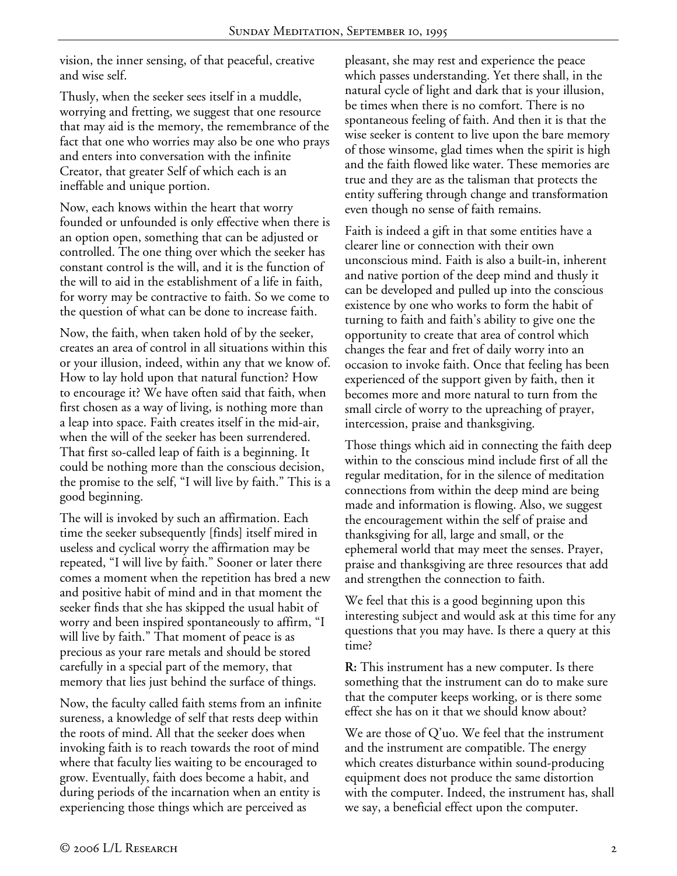vision, the inner sensing, of that peaceful, creative and wise self.

Thusly, when the seeker sees itself in a muddle, worrying and fretting, we suggest that one resource that may aid is the memory, the remembrance of the fact that one who worries may also be one who prays and enters into conversation with the infinite Creator, that greater Self of which each is an ineffable and unique portion.

Now, each knows within the heart that worry founded or unfounded is only effective when there is an option open, something that can be adjusted or controlled. The one thing over which the seeker has constant control is the will, and it is the function of the will to aid in the establishment of a life in faith, for worry may be contractive to faith. So we come to the question of what can be done to increase faith.

Now, the faith, when taken hold of by the seeker, creates an area of control in all situations within this or your illusion, indeed, within any that we know of. How to lay hold upon that natural function? How to encourage it? We have often said that faith, when first chosen as a way of living, is nothing more than a leap into space. Faith creates itself in the mid-air, when the will of the seeker has been surrendered. That first so-called leap of faith is a beginning. It could be nothing more than the conscious decision, the promise to the self, "I will live by faith." This is a good beginning.

The will is invoked by such an affirmation. Each time the seeker subsequently [finds] itself mired in useless and cyclical worry the affirmation may be repeated, "I will live by faith." Sooner or later there comes a moment when the repetition has bred a new and positive habit of mind and in that moment the seeker finds that she has skipped the usual habit of worry and been inspired spontaneously to affirm, "I will live by faith." That moment of peace is as precious as your rare metals and should be stored carefully in a special part of the memory, that memory that lies just behind the surface of things.

Now, the faculty called faith stems from an infinite sureness, a knowledge of self that rests deep within the roots of mind. All that the seeker does when invoking faith is to reach towards the root of mind where that faculty lies waiting to be encouraged to grow. Eventually, faith does become a habit, and during periods of the incarnation when an entity is experiencing those things which are perceived as

pleasant, she may rest and experience the peace which passes understanding. Yet there shall, in the natural cycle of light and dark that is your illusion, be times when there is no comfort. There is no spontaneous feeling of faith. And then it is that the wise seeker is content to live upon the bare memory of those winsome, glad times when the spirit is high and the faith flowed like water. These memories are true and they are as the talisman that protects the entity suffering through change and transformation even though no sense of faith remains.

Faith is indeed a gift in that some entities have a clearer line or connection with their own unconscious mind. Faith is also a built-in, inherent and native portion of the deep mind and thusly it can be developed and pulled up into the conscious existence by one who works to form the habit of turning to faith and faith's ability to give one the opportunity to create that area of control which changes the fear and fret of daily worry into an occasion to invoke faith. Once that feeling has been experienced of the support given by faith, then it becomes more and more natural to turn from the small circle of worry to the upreaching of prayer, intercession, praise and thanksgiving.

Those things which aid in connecting the faith deep within to the conscious mind include first of all the regular meditation, for in the silence of meditation connections from within the deep mind are being made and information is flowing. Also, we suggest the encouragement within the self of praise and thanksgiving for all, large and small, or the ephemeral world that may meet the senses. Prayer, praise and thanksgiving are three resources that add and strengthen the connection to faith.

We feel that this is a good beginning upon this interesting subject and would ask at this time for any questions that you may have. Is there a query at this time?

**R:** This instrument has a new computer. Is there something that the instrument can do to make sure that the computer keeps working, or is there some effect she has on it that we should know about?

We are those of Q'uo. We feel that the instrument and the instrument are compatible. The energy which creates disturbance within sound-producing equipment does not produce the same distortion with the computer. Indeed, the instrument has, shall we say, a beneficial effect upon the computer.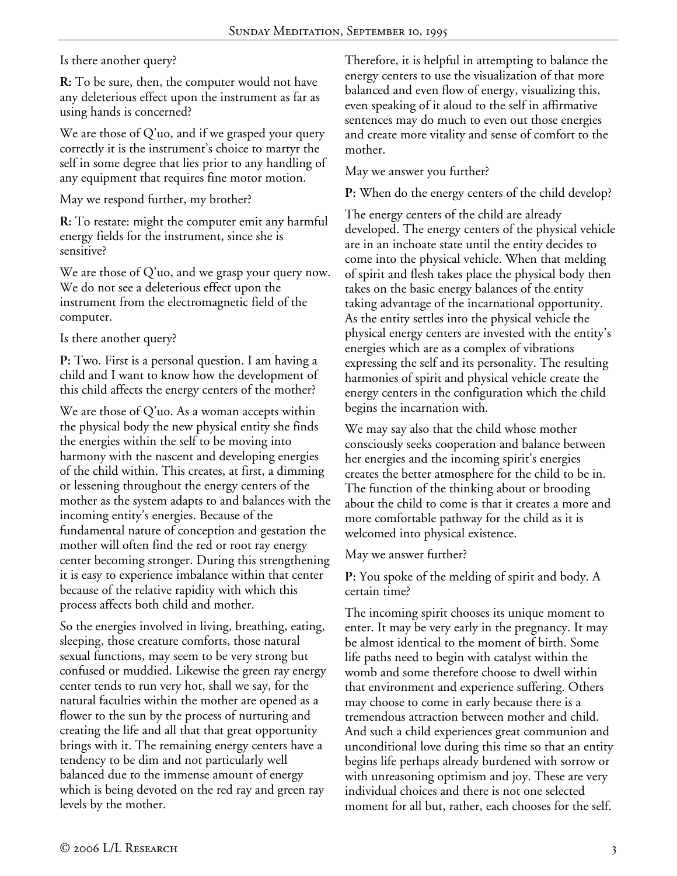### Is there another query?

**R:** To be sure, then, the computer would not have any deleterious effect upon the instrument as far as using hands is concerned?

We are those of Q'uo, and if we grasped your query correctly it is the instrument's choice to martyr the self in some degree that lies prior to any handling of any equipment that requires fine motor motion.

May we respond further, my brother?

**R:** To restate: might the computer emit any harmful energy fields for the instrument, since she is sensitive?

We are those of Q'uo, and we grasp your query now. We do not see a deleterious effect upon the instrument from the electromagnetic field of the computer.

Is there another query?

**P:** Two. First is a personal question. I am having a child and I want to know how the development of this child affects the energy centers of the mother?

We are those of Q'uo. As a woman accepts within the physical body the new physical entity she finds the energies within the self to be moving into harmony with the nascent and developing energies of the child within. This creates, at first, a dimming or lessening throughout the energy centers of the mother as the system adapts to and balances with the incoming entity's energies. Because of the fundamental nature of conception and gestation the mother will often find the red or root ray energy center becoming stronger. During this strengthening it is easy to experience imbalance within that center because of the relative rapidity with which this process affects both child and mother.

So the energies involved in living, breathing, eating, sleeping, those creature comforts, those natural sexual functions, may seem to be very strong but confused or muddied. Likewise the green ray energy center tends to run very hot, shall we say, for the natural faculties within the mother are opened as a flower to the sun by the process of nurturing and creating the life and all that that great opportunity brings with it. The remaining energy centers have a tendency to be dim and not particularly well balanced due to the immense amount of energy which is being devoted on the red ray and green ray levels by the mother.

Therefore, it is helpful in attempting to balance the energy centers to use the visualization of that more balanced and even flow of energy, visualizing this, even speaking of it aloud to the self in affirmative sentences may do much to even out those energies and create more vitality and sense of comfort to the mother.

May we answer you further?

**P:** When do the energy centers of the child develop?

The energy centers of the child are already developed. The energy centers of the physical vehicle are in an inchoate state until the entity decides to come into the physical vehicle. When that melding of spirit and flesh takes place the physical body then takes on the basic energy balances of the entity taking advantage of the incarnational opportunity. As the entity settles into the physical vehicle the physical energy centers are invested with the entity's energies which are as a complex of vibrations expressing the self and its personality. The resulting harmonies of spirit and physical vehicle create the energy centers in the configuration which the child begins the incarnation with.

We may say also that the child whose mother consciously seeks cooperation and balance between her energies and the incoming spirit's energies creates the better atmosphere for the child to be in. The function of the thinking about or brooding about the child to come is that it creates a more and more comfortable pathway for the child as it is welcomed into physical existence.

May we answer further?

**P:** You spoke of the melding of spirit and body. A certain time?

The incoming spirit chooses its unique moment to enter. It may be very early in the pregnancy. It may be almost identical to the moment of birth. Some life paths need to begin with catalyst within the womb and some therefore choose to dwell within that environment and experience suffering. Others may choose to come in early because there is a tremendous attraction between mother and child. And such a child experiences great communion and unconditional love during this time so that an entity begins life perhaps already burdened with sorrow or with unreasoning optimism and joy. These are very individual choices and there is not one selected moment for all but, rather, each chooses for the self.